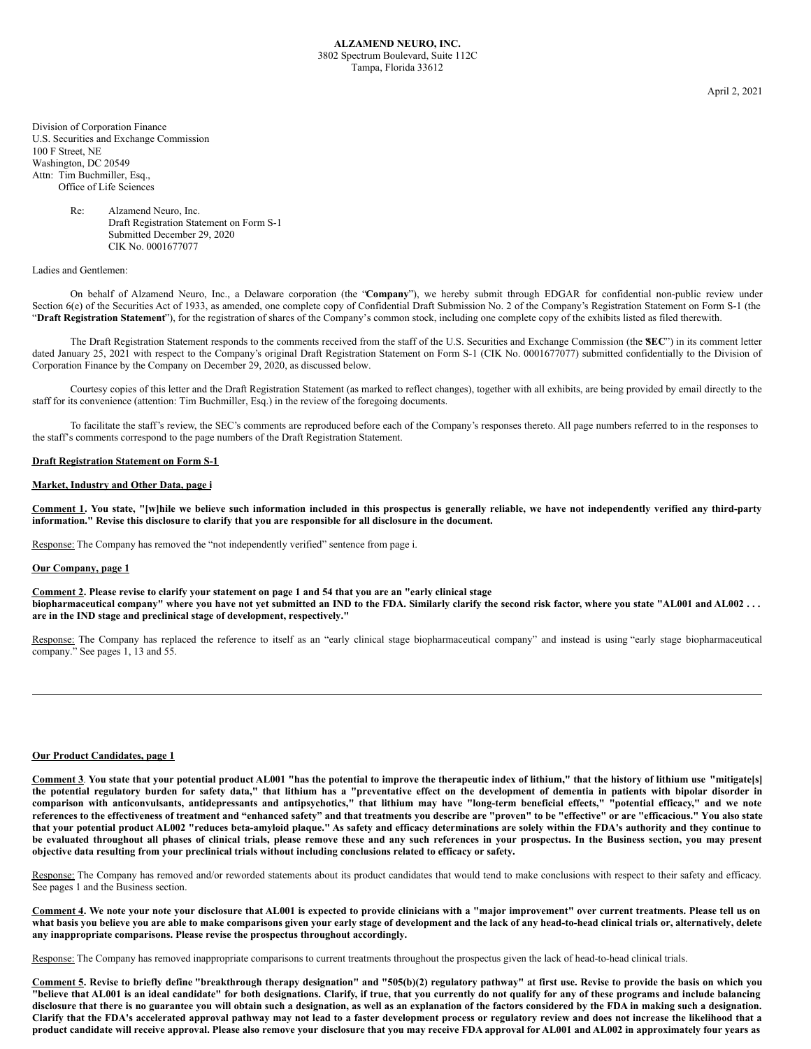April 2, 2021

Division of Corporation Finance U.S. Securities and Exchange Commission 100 F Street, NE Washington, DC 20549 Attn: Tim Buchmiller, Esq., Office of Life Sciences

> Re: Alzamend Neuro, Inc. Draft Registration Statement on Form S-1 Submitted December 29, 2020 CIK No. 0001677077

## Ladies and Gentlemen:

On behalf of Alzamend Neuro, Inc., a Delaware corporation (the "**Company**"), we hereby submit through EDGAR for confidential non-public review under Section 6(e) of the Securities Act of 1933, as amended, one complete copy of Confidential Draft Submission No. 2 of the Company's Registration Statement on Form S-1 (the "**Draft Registration Statement**"), for the registration of shares of the Company's common stock, including one complete copy of the exhibits listed as filed therewith.

The Draft Registration Statement responds to the comments received from the staff of the U.S. Securities and Exchange Commission (the SEC") in its comment letter dated January 25, 2021 with respect to the Company's original Draft Registration Statement on Form S-1 (CIK No. 0001677077) submitted confidentially to the Division of Corporation Finance by the Company on December 29, 2020, as discussed below.

Courtesy copies of this letter and the Draft Registration Statement (as marked to reflect changes), together with all exhibits, are being provided by email directly to the staff for its convenience (attention: Tim Buchmiller, Esq.) in the review of the foregoing documents.

To facilitate the staff's review, the SEC's comments are reproduced before each of the Company's responses thereto. All page numbers referred to in the responses to the staff's comments correspond to the page numbers of the Draft Registration Statement.

#### **Draft Registration Statement on Form S-1**

## **Market, Industry and Other Data, page i**

Comment 1. You state, "[w]hile we believe such information included in this prospectus is generally reliable, we have not independently verified any third-party **information." Revise this disclosure to clarify that you are responsible for all disclosure in the document.**

Response: The Company has removed the "not independently verified" sentence from page i.

### **Our Company, page 1**

Comment 2. Please revise to clarify your statement on page 1 and 54 that you are an "early clinical stage biopharmaceutical company" where you have not yet submitted an IND to the FDA. Similarly clarify the second risk factor, where you state "AL001 and AL002 ... **are in the IND stage and preclinical stage of development, respectively."**

Response: The Company has replaced the reference to itself as an "early clinical stage biopharmaceutical company" and instead is using "early stage biopharmaceutical company." See pages 1, 13 and 55.

#### **Our Product Candidates, page 1**

Comment 3. You state that your potential product AL001 "has the potential to improve the therapeutic index of lithium," that the history of lithium use "mitigate[s] the potential regulatory burden for safety data," that lithium has a "preventative effect on the development of dementia in patients with bipolar disorder in comparison with anticonvulsants, antidepressants and antipsychotics," that lithium may have "long-term beneficial effects," "potential efficacy," and we note references to the effectiveness of treatment and "enhanced safety" and that treatments you describe are "proven" to be "effective" or are "efficacious." You also state that your potential product AL002 "reduces beta-amyloid plaque." As safety and efficacy determinations are solely within the FDA's authority and they continue to be evaluated throughout all phases of clinical trials, please remove these and any such references in your prospectus. In the Business section, you may present **objective data resulting from your preclinical trials without including conclusions related to efficacy or safety.**

Response: The Company has removed and/or reworded statements about its product candidates that would tend to make conclusions with respect to their safety and efficacy. See pages 1 and the Business section.

Comment 4. We note your note your disclosure that AL001 is expected to provide clinicians with a "major improvement" over current treatments. Please tell us on what basis you believe you are able to make comparisons given your early stage of development and the lack of any head-to-head clinical trials or, alternatively, delete **any inappropriate comparisons. Please revise the prospectus throughout accordingly.**

Response: The Company has removed inappropriate comparisons to current treatments throughout the prospectus given the lack of head-to-head clinical trials.

Comment 5. Revise to briefly define "breakthrough therapy designation" and "505(b)(2) regulatory pathway" at first use. Revise to provide the basis on which you "believe that AL001 is an ideal candidate" for both designations. Clarify, if true, that you currently do not qualify for any of these programs and include balancing disclosure that there is no guarantee you will obtain such a designation, as well as an explanation of the factors considered by the FDA in making such a designation. Clarify that the FDA's accelerated approval pathway may not lead to a faster development process or regulatory review and does not increase the likelihood that a product candidate will receive approval. Please also remove your disclosure that you may receive FDA approval for AL001 and AL002 in approximately four years as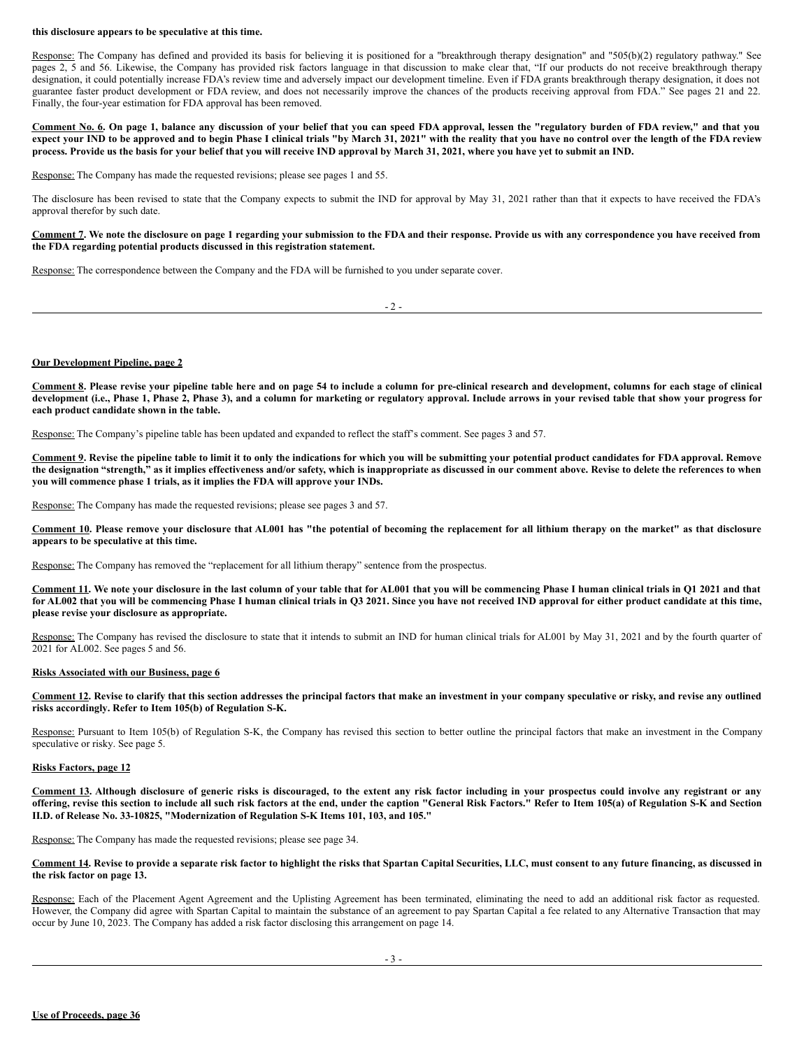#### **this disclosure appears to be speculative at this time.**

Response: The Company has defined and provided its basis for believing it is positioned for a "breakthrough therapy designation" and "505(b)(2) regulatory pathway." See pages 2, 5 and 56. Likewise, the Company has provided risk factors language in that discussion to make clear that, "If our products do not receive breakthrough therapy designation, it could potentially increase FDA's review time and adversely impact our development timeline. Even if FDA grants breakthrough therapy designation, it does not guarantee faster product development or FDA review, and does not necessarily improve the chances of the products receiving approval from FDA." See pages 21 and 22. Finally, the four-year estimation for FDA approval has been removed.

Comment No. 6. On page 1, balance any discussion of your belief that you can speed FDA approval, lessen the "regulatory burden of FDA review," and that you expect your IND to be approved and to begin Phase I clinical trials "by March 31, 2021" with the reality that you have no control over the length of the FDA review process. Provide us the basis for your belief that you will receive IND approval by March 31, 2021, where you have yet to submit an IND.

Response: The Company has made the requested revisions; please see pages 1 and 55.

The disclosure has been revised to state that the Company expects to submit the IND for approval by May 31, 2021 rather than that it expects to have received the FDA's approval therefor by such date.

Comment 7. We note the disclosure on page 1 regarding your submission to the FDA and their response. Provide us with any correspondence you have received from **the FDA regarding potential products discussed in this registration statement.**

Response: The correspondence between the Company and the FDA will be furnished to you under separate cover.

| I<br>_<br>- |
|-------------|
|-------------|

#### **Our Development Pipeline, page 2**

Comment 8. Please revise your pipeline table here and on page 54 to include a column for pre-clinical research and development, columns for each stage of clinical development (i.e., Phase 1, Phase 2, Phase 3), and a column for marketing or regulatory approval. Include arrows in your revised table that show your progress for **each product candidate shown in the table.**

Response: The Company's pipeline table has been updated and expanded to reflect the staff's comment. See pages 3 and 57.

Comment 9. Revise the pipeline table to limit it to only the indications for which you will be submitting your potential product candidates for FDA approval. Remove the designation "strength," as it implies effectiveness and/or safety, which is inappropriate as discussed in our comment above. Revise to delete the references to when **you will commence phase 1 trials, as it implies the FDA will approve your INDs.**

Response: The Company has made the requested revisions; please see pages 3 and 57.

Comment 10. Please remove your disclosure that AL001 has "the potential of becoming the replacement for all lithium therapy on the market" as that disclosure **appears to be speculative at this time.**

Response: The Company has removed the "replacement for all lithium therapy" sentence from the prospectus.

Comment 11. We note your disclosure in the last column of your table that for AL001 that you will be commencing Phase I human clinical trials in Q1 2021 and that for AL002 that you will be commencing Phase I human clinical trials in Q3 2021. Since you have not received IND approval for either product candidate at this time, **please revise your disclosure as appropriate.**

Response: The Company has revised the disclosure to state that it intends to submit an IND for human clinical trials for AL001 by May 31, 2021 and by the fourth quarter of 2021 for AL002. See pages 5 and 56.

#### **Risks Associated with our Business, page 6**

Comment 12. Revise to clarify that this section addresses the principal factors that make an investment in your company speculative or risky, and revise any outlined **risks accordingly. Refer to Item 105(b) of Regulation S-K.**

Response: Pursuant to Item 105(b) of Regulation S-K, the Company has revised this section to better outline the principal factors that make an investment in the Company speculative or risky. See page 5.

#### **Risks Factors, page 12**

Comment 13. Although disclosure of generic risks is discouraged, to the extent any risk factor including in your prospectus could involve any registrant or any offering, revise this section to include all such risk factors at the end, under the caption "General Risk Factors." Refer to Item 105(a) of Regulation S-K and Section **II.D. of Release No. 33-10825, "Modernization of Regulation S-K Items 101, 103, and 105."**

Response: The Company has made the requested revisions; please see page 34.

Comment 14. Revise to provide a separate risk factor to highlight the risks that Spartan Capital Securities, LLC, must consent to any future financing, as discussed in **the risk factor on page 13.**

Response: Each of the Placement Agent Agreement and the Uplisting Agreement has been terminated, eliminating the need to add an additional risk factor as requested. However, the Company did agree with Spartan Capital to maintain the substance of an agreement to pay Spartan Capital a fee related to any Alternative Transaction that may occur by June 10, 2023. The Company has added a risk factor disclosing this arrangement on page 14.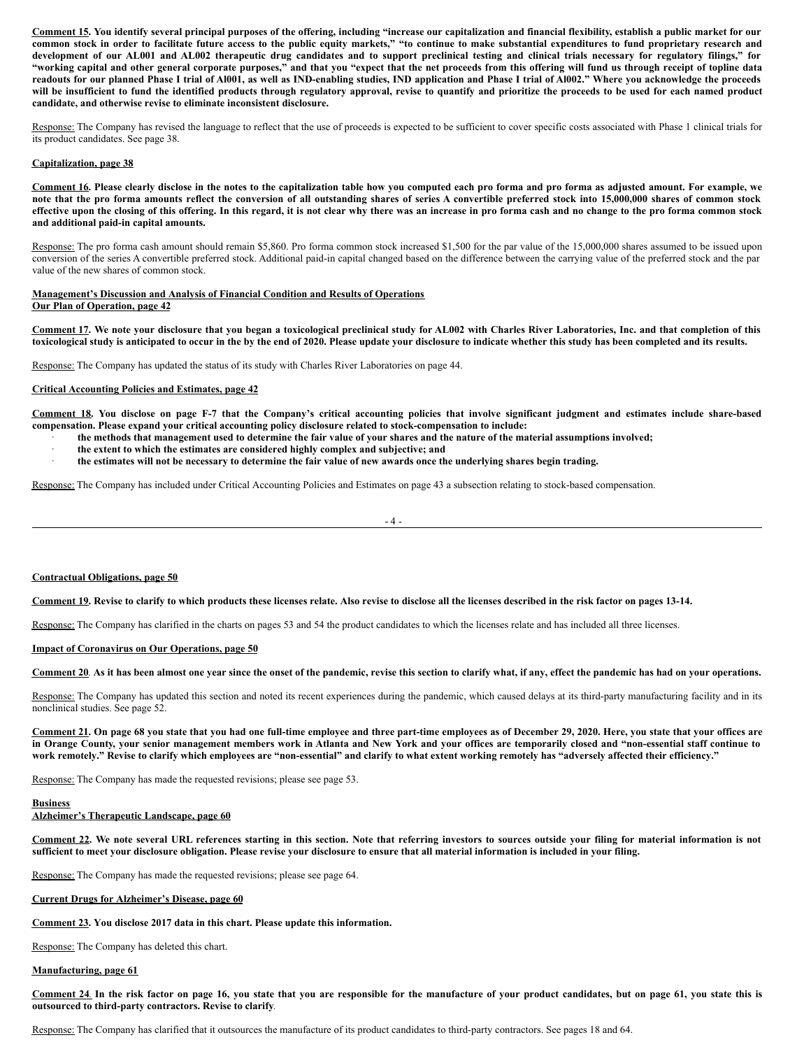Comment 15. You identify several principal purposes of the offering, including "increase our capitalization and financial flexibility, establish a public market for our common stock in order to facilitate future access to the public equity markets," "to continue to make substantial expenditures to fund proprietary research and development of our AL001 and AL002 therapeutic drug candidates and to support preclinical testing and clinical trials necessary for regulatory filings," for "working capital and other general corporate purposes," and that you "expect that the net proceeds from this offering will fund us through receipt of topline data readouts for our planned Phase I trial of Al001, as well as IND-enabling studies, IND application and Phase I trial of Al002." Where you acknowledge the proceeds will be insufficient to fund the identified products through regulatory approval, revise to quantify and prioritize the proceeds to be used for each named product **candidate, and otherwise revise to eliminate inconsistent disclosure.**

Response: The Company has revised the language to reflect that the use of proceeds is expected to be sufficient to cover specific costs associated with Phase 1 clinical trials for its product candidates. See page 38.

## **Capitalization, page 38**

Comment 16. Please clearly disclose in the notes to the capitalization table how you computed each pro forma and pro forma as adjusted amount. For example, we note that the pro forma amounts reflect the conversion of all outstanding shares of series A convertible preferred stock into 15,000,000 shares of common stock effective upon the closing of this offering. In this regard, it is not clear why there was an increase in pro forma cash and no change to the pro forma common stock **and additional paid-in capital amounts.**

Response: The pro forma cash amount should remain \$5,860. Pro forma common stock increased \$1,500 for the par value of the 15,000,000 shares assumed to be issued upon conversion of the series A convertible preferred stock. Additional paid-in capital changed based on the difference between the carrying value of the preferred stock and the par value of the new shares of common stock.

#### **Management's Discussion and Analysis of Financial Condition and Results of Operations Our Plan of Operation, page 42**

Comment 17. We note your disclosure that you began a toxicological preclinical study for AL002 with Charles River Laboratories, Inc. and that completion of this toxicological study is anticipated to occur in the by the end of 2020. Please update your disclosure to indicate whether this study has been completed and its results.

Response: The Company has updated the status of its study with Charles River Laboratories on page 44.

#### **Critical Accounting Policies and Estimates, page 42**

Comment 18. You disclose on page F-7 that the Company's critical accounting policies that involve significant judgment and estimates include share-based **compensation. Please expand your critical accounting policy disclosure related to stock-compensation to include:**

- the methods that management used to determine the fair value of your shares and the nature of the material assumptions involved;
- · **the extent to which the estimates are considered highly complex and subjective; and**
- the estimates will not be necessary to determine the fair value of new awards once the underlying shares begin trading.

Response: The Company has included under Critical Accounting Policies and Estimates on page 43 a subsection relating to stock-based compensation.

 $-4 -$ 

## **Contractual Obligations, page 50**

#### Comment 19. Revise to clarify to which products these licenses relate. Also revise to disclose all the licenses described in the risk factor on pages 13-14.

Response: The Company has clarified in the charts on pages 53 and 54 the product candidates to which the licenses relate and has included all three licenses.

#### **Impact of Coronavirus on Our Operations, page 50**

# Comment 20 As it has been almost one year since the onset of the pandemic, revise this section to clarify what, if any, effect the pandemic has had on your operations.

Response: The Company has updated this section and noted its recent experiences during the pandemic, which caused delays at its third-party manufacturing facility and in its nonclinical studies. See page 52.

Comment 21. On page 68 you state that you had one full-time employee and three part-time employees as of December 29, 2020. Here, you state that your offices are in Orange County, your senior management members work in Atlanta and New York and your offices are temporarily closed and "non-essential staff continue to work remotely." Revise to clarify which employees are "non-essential" and clarify to what extent working remotely has "adversely affected their efficiency."

Response: The Company has made the requested revisions; please see page 53.

#### **Business**

## **Alzheimer's Therapeutic Landscape, page 60**

Comment 22. We note several URL references starting in this section. Note that referring investors to sources outside your filing for material information is not sufficient to meet your disclosure obligation. Please revise your disclosure to ensure that all material information is included in your filing.

Response: The Company has made the requested revisions; please see page 64.

#### **Current Drugs for Alzheimer's Disease, page 60**

**Comment 23. You disclose 2017 data in this chart. Please update this information.**

Response: The Company has deleted this chart.

#### **Manufacturing, page 61**

Comment 24. In the risk factor on page 16, you state that you are responsible for the manufacture of your product candidates, but on page 61, you state this is **outsourced to third-party contractors. Revise to clarify***.*

Response: The Company has clarified that it outsources the manufacture of its product candidates to third-party contractors. See pages 18 and 64.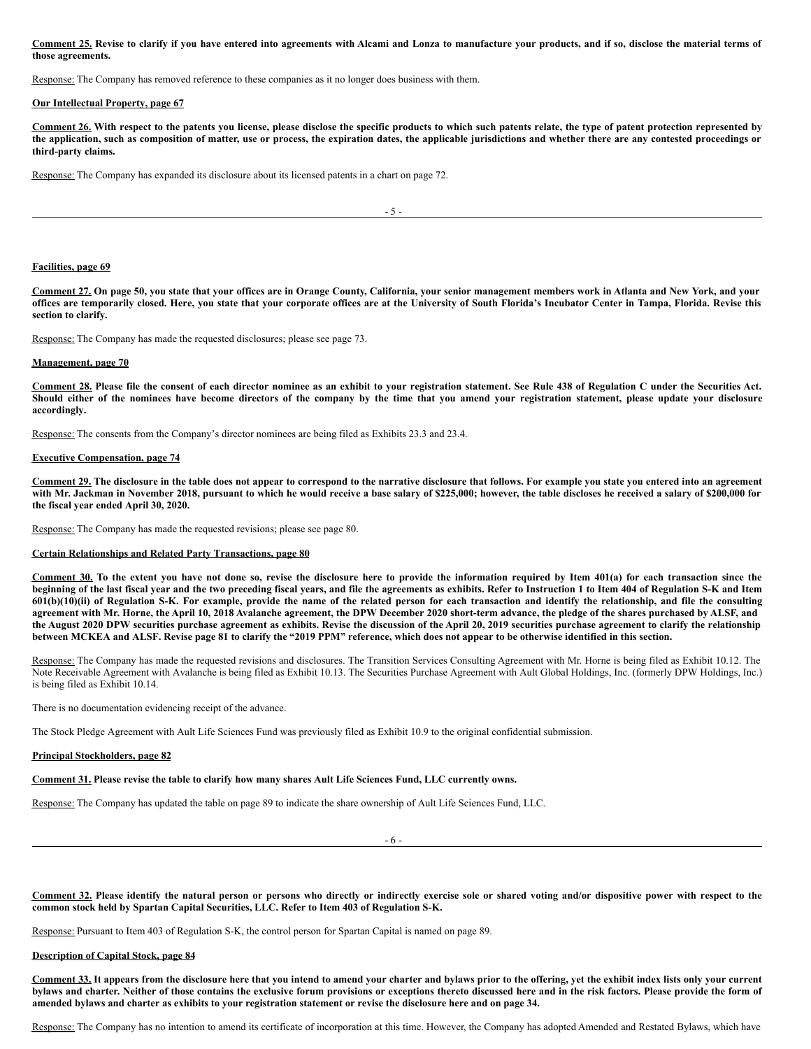Comment 25. Revise to clarify if you have entered into agreements with Alcami and Lonza to manufacture your products, and if so, disclose the material terms of **those agreements.**

Response: The Company has removed reference to these companies as it no longer does business with them.

#### **Our Intellectual Property, page 67**

Comment 26. With respect to the patents you license, please disclose the specific products to which such patents relate, the type of patent protection represented by the application, such as composition of matter, use or process, the expiration dates, the applicable jurisdictions and whether there are any contested proceedings or **third-party claims.**

Response: The Company has expanded its disclosure about its licensed patents in a chart on page 72.

 $-5$  -

## **Facilities, page 69**

Comment 27. On page 50, you state that your offices are in Orange County, California, your senior management members work in Atlanta and New York, and your offices are temporarily closed. Here, you state that your corporate offices are at the University of South Florida's Incubator Center in Tampa, Florida. Revise this **section to clarify.**

Response: The Company has made the requested disclosures; please see page 73.

#### **Management, page 70**

Comment 28. Please file the consent of each director nominee as an exhibit to your registration statement. See Rule 438 of Regulation C under the Securities Act. Should either of the nominees have become directors of the company by the time that you amend your registration statement, please update your disclosure **accordingly.**

Response: The consents from the Company's director nominees are being filed as Exhibits 23.3 and 23.4.

## **Executive Compensation, page 74**

Comment 29. The disclosure in the table does not appear to correspond to the narrative disclosure that follows. For example you state you entered into an agreement with Mr. Jackman in November 2018, pursuant to which he would receive a base salary of \$225,000; however, the table discloses he received a salary of \$200,000 for **the fiscal year ended April 30, 2020.**

Response: The Company has made the requested revisions; please see page 80.

## **Certain Relationships and Related Party Transactions, page 80**

Comment 30. To the extent you have not done so, revise the disclosure here to provide the information required by Item 401(a) for each transaction since the beginning of the last fiscal year and the two preceding fiscal years, and file the agreements as exhibits. Refer to Instruction 1 to Item 404 of Regulation S-K and Item 601(b)(10)(ii) of Regulation S-K. For example, provide the name of the related person for each transaction and identify the relationship, and file the consulting agreement with Mr. Horne, the April 10, 2018 Avalanche agreement, the DPW December 2020 short-term advance, the pledge of the shares purchased by ALSF, and the August 2020 DPW securities purchase agreement as exhibits. Revise the discussion of the April 20, 2019 securities purchase agreement to clarify the relationship between MCKEA and ALSF. Revise page 81 to clarify the "2019 PPM" reference, which does not appear to be otherwise identified in this section.

Response: The Company has made the requested revisions and disclosures. The Transition Services Consulting Agreement with Mr. Horne is being filed as Exhibit 10.12. The Note Receivable Agreement with Avalanche is being filed as Exhibit 10.13. The Securities Purchase Agreement with Ault Global Holdings, Inc. (formerly DPW Holdings, Inc.) is being filed as Exhibit 10.14.

There is no documentation evidencing receipt of the advance.

The Stock Pledge Agreement with Ault Life Sciences Fund was previously filed as Exhibit 10.9 to the original confidential submission.

#### **Principal Stockholders, page 82**

#### Comment 31. Please revise the table to clarify how many shares Ault Life Sciences Fund, LLC currently owns.

Response: The Company has updated the table on page 89 to indicate the share ownership of Ault Life Sciences Fund, LLC.

- 6 -

Comment 32. Please identify the natural person or persons who directly or indirectly exercise sole or shared voting and/or dispositive power with respect to the **common stock held by Spartan Capital Securities, LLC. Refer to Item 403 of Regulation S-K.**

Response: Pursuant to Item 403 of Regulation S-K, the control person for Spartan Capital is named on page 89.

### **Description of Capital Stock, page 84**

Comment 33. It appears from the disclosure here that you intend to amend your charter and bylaws prior to the offering, yet the exhibit index lists only your current bylaws and charter. Neither of those contains the exclusive forum provisions or exceptions thereto discussed here and in the risk factors. Please provide the form of amended bylaws and charter as exhibits to your registration statement or revise the disclosure here and on page 34.

Response: The Company has no intention to amend its certificate of incorporation at this time. However, the Company has adopted Amended and Restated Bylaws, which have